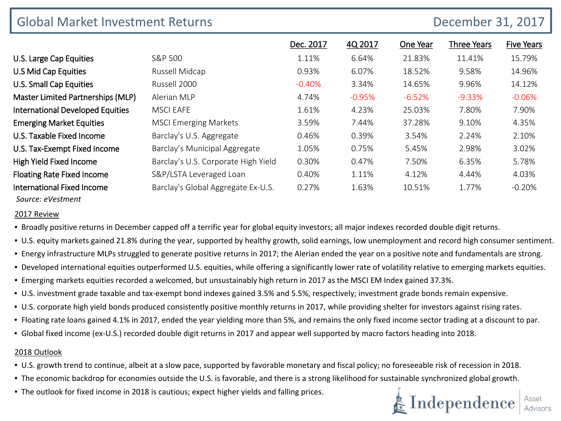| <b>Global Market Investment Returns</b> |                                     |           |          | December 31, 2017 |                    |                   |  |
|-----------------------------------------|-------------------------------------|-----------|----------|-------------------|--------------------|-------------------|--|
|                                         |                                     | Dec. 2017 | 4Q 2017  | One Year          | <b>Three Years</b> | <b>Five Years</b> |  |
| U.S. Large Cap Equities                 | S&P 500                             | 1.11%     | 6.64%    | 21.83%            | 11.41%             | 15.79%            |  |
| <b>U.S Mid Cap Equities</b>             | Russell Midcap                      | 0.93%     | 6.07%    | 18.52%            | 9.58%              | 14.96%            |  |
| <b>U.S. Small Cap Equities</b>          | Russell 2000                        | $-0.40%$  | 3.34%    | 14.65%            | 9.96%              | 14.12%            |  |
| Master Limited Partnerships (MLP)       | Alerian MLP                         | 4.74%     | $-0.95%$ | $-6.52%$          | $-9.33%$           | $-0.06\%$         |  |
| <b>International Developed Equities</b> | <b>MSCI EAFE</b>                    | 1.61%     | 4.23%    | 25.03%            | 7.80%              | 7.90%             |  |
| <b>Emerging Market Equities</b>         | <b>MSCI Emerging Markets</b>        | 3.59%     | 7.44%    | 37.28%            | 9.10%              | 4.35%             |  |
| U.S. Taxable Fixed Income               | Barclay's U.S. Aggregate            | 0.46%     | 0.39%    | 3.54%             | 2.24%              | 2.10%             |  |
| U.S. Tax-Exempt Fixed Income            | Barclay's Municipal Aggregate       | 1.05%     | 0.75%    | 5.45%             | 2.98%              | 3.02%             |  |
| <b>High Yield Fixed Income</b>          | Barclay's U.S. Corporate High Yield | 0.30%     | 0.47%    | 7.50%             | 6.35%              | 5.78%             |  |
| <b>Floating Rate Fixed Income</b>       | S&P/LSTA Leveraged Loan             | 0.40%     | 1.11%    | 4.12%             | 4.44%              | 4.03%             |  |
| International Fixed Income              | Barclay's Global Aggregate Ex-U.S.  | 0.27%     | 1.63%    | 10.51%            | 1.77%              | $-0.20%$          |  |

## *Source: eVestment*

2017 Review

- Broadly positive returns in December capped off a terrific year for global equity investors; all major indexes recorded double digit returns.
- U.S. equity markets gained 21.8% during the year, supported by healthy growth, solid earnings, low unemployment and record high consumer sentiment.
- Energy infrastructure MLPs struggled to generate positive returns in 2017; the Alerian ended the year on a positive note and fundamentals are strong.
- Developed international equities outperformed U.S. equities, while offering a significantly lower rate of volatility relative to emerging markets equities.
- Emerging markets equities recorded a welcomed, but unsustainably high return in 2017 as the MSCI EM Index gained 37.3%.
- U.S. investment grade taxable and tax-exempt bond indexes gained 3.5% and 5.5%, respectively; investment grade bonds remain expensive.
- U.S. corporate high yield bonds produced consistently positive monthly returns in 2017, while providing shelter for investors against rising rates.
- Floating rate loans gained 4.1% in 2017, ended the year yielding more than 5%, and remains the only fixed income sector trading at a discount to par.
- Global fixed income (ex-U.S.) recorded double digit returns in 2017 and appear well supported by macro factors heading into 2018.

## 2018 Outlook

- U.S. growth trend to continue, albeit at a slow pace, supported by favorable monetary and fiscal policy; no foreseeable risk of recession in 2018.
- The economic backdrop for economies outside the U.S. is favorable, and there is a strong likelihood for sustainable synchronized global growth.
- The outlook for fixed income in 2018 is cautious; expect higher yields and falling prices.